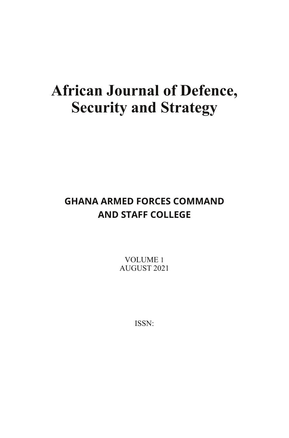# **African Journal of Defence, Security and Strategy**

# **GHANA ARMED FORCES COMMAND AND STAFF COLLEGE**

VOLUME 1 AUGUST 2021

ISSN: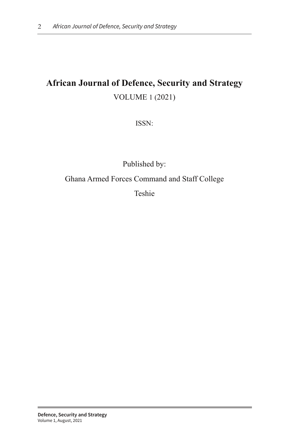# **African Journal of Defence, Security and Strategy** VOLUME 1 (2021)

ISSN:

Published by: Ghana Armed Forces Command and Staff College Teshie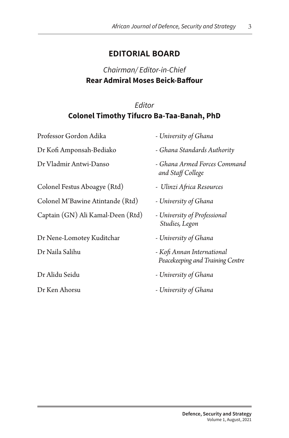#### **EDITORIAL BOARD**

### Chairman/ Editor-in-Chief **Rear Admiral Moses Beick-Bafour**

#### Editor **Colonel Timothy Tifucro Ba-Taa-Banah, PhD**

Professor Gordon Adika - *University of Ghana* 

Colonel Festus Aboagye (Rtd) - *Ulinzi A"ica Resources*

Colonel M'Bawine Atintande (Rtd) - *University of Ghana*

Captain (GN) Ali Kamal-Deen (Rtd) - *University of Professional* 

Dr Nene-Lomotey Kuditchar - *University of Ghana* 

- 
- Dr Kofi Amponsah-Bediako *Ghana Standards Authority*
- Dr Vladmir Antwi-Danso *Ghana Armed Forces Command and Sta! College*
	-
	-
	- *Studies, Legon*
	-
- Dr Naila Salihu *Ko# Annan International Peacekeeping and Training Centre*
- Dr Alidu Seidu *University of Ghana*
- Dr Ken Ahorsu *University of Ghana*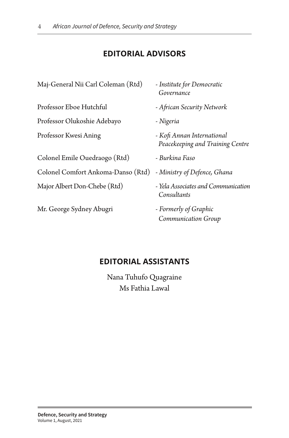## **EDITORIAL ADVISORS**

| Maj-General Nii Carl Coleman (Rtd) | - Institute for Democratic<br>Governance                       |
|------------------------------------|----------------------------------------------------------------|
| Professor Eboe Hutchful            | - African Security Network                                     |
| Professor Olukoshie Adebayo        | - Nigeria                                                      |
| Professor Kwesi Aning              | - Kofi Annan International<br>Peacekeeping and Training Centre |
| Colonel Emile Ouedraogo (Rtd)      | - Burkina Faso                                                 |
| Colonel Comfort Ankoma-Danso (Rtd) | - Ministry of Defence, Ghana                                   |
| Major Albert Don-Chebe (Rtd)       | - Yela Associates and Communication<br>Consultants             |
| Mr. George Sydney Abugri           | - Formerly of Graphic<br>Communication Group                   |

#### **EDITORIAL ASSISTANTS**

Nana Tuhufo Quagraine Ms Fathia Lawal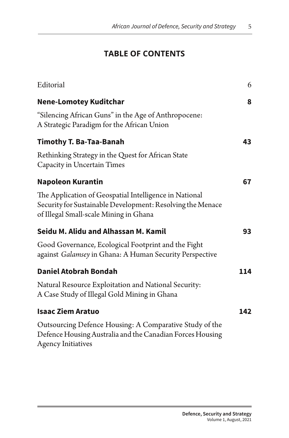# **TABLE OF CONTENTS**

| Editorial                                                                                                                                                      | 6   |
|----------------------------------------------------------------------------------------------------------------------------------------------------------------|-----|
| <b>Nene-Lomotey Kuditchar</b>                                                                                                                                  | 8   |
| "Silencing African Guns" in the Age of Anthropocene:<br>A Strategic Paradigm for the African Union                                                             |     |
| <b>Timothy T. Ba-Taa-Banah</b>                                                                                                                                 | 43  |
| Rethinking Strategy in the Quest for African State<br>Capacity in Uncertain Times                                                                              |     |
| <b>Napoleon Kurantin</b>                                                                                                                                       | 67  |
| The Application of Geospatial Intelligence in National<br>Security for Sustainable Development: Resolving the Menace<br>of Illegal Small-scale Mining in Ghana |     |
| Seidu M. Alidu and Alhassan M. Kamil                                                                                                                           | 93  |
| Good Governance, Ecological Footprint and the Fight<br>against Galamsey in Ghana: A Human Security Perspective                                                 |     |
| <b>Daniel Atobrah Bondah</b>                                                                                                                                   | 114 |
| Natural Resource Exploitation and National Security:<br>A Case Study of Illegal Gold Mining in Ghana                                                           |     |
| <b>Isaac Ziem Aratuo</b>                                                                                                                                       | 142 |
| Outsourcing Defence Housing: A Comparative Study of the<br>Defence Housing Australia and the Canadian Forces Housing<br><b>Agency Initiatives</b>              |     |
|                                                                                                                                                                |     |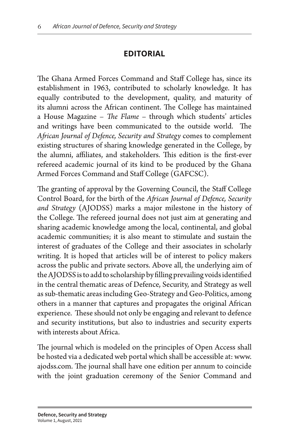## **EDITORIAL**

The Ghana Armed Forces Command and Staff College has, since its establishment in 1963, contributed to scholarly knowledge. It has equally contributed to the development, quality, and maturity of its alumni across the African continent. The College has maintained a House Magazine - *The Flame* - through which students' articles and writings have been communicated to the outside world. The *A"ican Journal of Defence, Security and Strategy* comes to complement existing structures of sharing knowledge generated in the College, by the alumni, affiliates, and stakeholders. This edition is the first-ever refereed academic journal of its kind to be produced by the Ghana Armed Forces Command and Staff College (GAFCSC).

The granting of approval by the Governing Council, the Staff College Control Board, for the birth of the *African Journal of Defence*, Security *and Strategy* (AJODSS) marks a major milestone in the history of the College. The refereed journal does not just aim at generating and sharing academic knowledge among the local, continental, and global academic communities; it is also meant to stimulate and sustain the interest of graduates of the College and their associates in scholarly writing. It is hoped that articles will be of interest to policy makers across the public and private sectors. Above all, the underlying aim of the AJODSS is to add to scholarship by filling prevailing voids identified in the central thematic areas of Defence, Security, and Strategy as well as sub-thematic areas including Geo-Strategy and Geo-Politics, among others in a manner that captures and propagates the original African experience. These should not only be engaging and relevant to defence and security institutions, but also to industries and security experts with interests about Africa.

The journal which is modeled on the principles of Open Access shall be hosted via a dedicated web portal which shall be accessible at: www. ajodss.com. The journal shall have one edition per annum to coincide with the joint graduation ceremony of the Senior Command and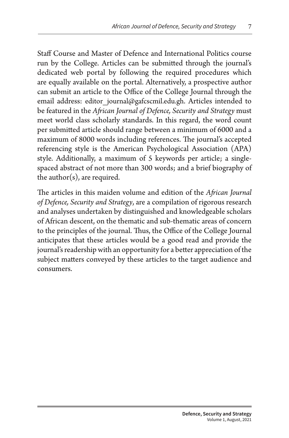Staff Course and Master of Defence and International Politics course run by the College. Articles can be submitted through the journal's dedicated web portal by following the required procedures which are equally available on the portal. Alternatively, a prospective author can submit an article to the Office of the College Journal through the email address: editor journal@gafcscmil.edu.gh. Articles intended to be featured in the *A"ican Journal of Defence, Security and Strategy* must meet world class scholarly standards. In this regard, the word count per submitted article should range between a minimum of 6000 and a maximum of 8000 words including references. The journal's accepted referencing style is the American Psychological Association (APA) style. Additionally, a maximum of 5 keywords per article; a singlespaced abstract of not more than 300 words; and a brief biography of the author(s), are required.

The articles in this maiden volume and edition of the *African Journal of Defence, Security and Strategy*, are a compilation of rigorous research and analyses undertaken by distinguished and knowledgeable scholars of African descent, on the thematic and sub-thematic areas of concern to the principles of the journal. Thus, the Office of the College Journal anticipates that these articles would be a good read and provide the journal's readership with an opportunity for a better appreciation of the subject matters conveyed by these articles to the target audience and consumers.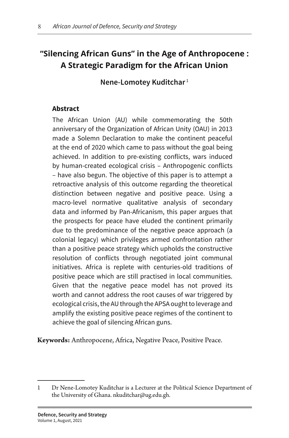# **"Silencing African Guns" in the Age of Anthropocene : A Strategic Paradigm for the African Union**

**Nene-Lomotey Kuditchar** <sup>1</sup>

#### **Abstract**

The African Union (AU) while commemorating the 50th anniversary of the Organization of African Unity (OAU) in 2013 made a Solemn Declaration to make the continent peaceful at the end of 2020 which came to pass without the goal being achieved. In addition to pre-existing conficts, wars induced by human-created ecological crisis – Anthropogenic conficts – have also begun. The objective of this paper is to attempt a retroactive analysis of this outcome regarding the theoretical distinction between negative and positive peace. Using a macro-level normative qualitative analysis of secondary data and informed by Pan-Africanism, this paper argues that the prospects for peace have eluded the continent primarily due to the predominance of the negative peace approach (a colonial legacy) which privileges armed confrontation rather than a positive peace strategy which upholds the constructive resolution of conficts through negotiated joint communal initiatives. Africa is replete with centuries-old traditions of positive peace which are still practised in local communities. Given that the negative peace model has not proved its worth and cannot address the root causes of war triggered by ecological crisis, the AU through the APSA ought to leverage and amplify the existing positive peace regimes of the continent to achieve the goal of silencing African guns.

**Keywords:** Anthropocene, Africa, Negative Peace, Positive Peace.

<sup>1</sup> Dr Nene-Lomotey Kuditchar is a Lecturer at the Political Science Department of the University of Ghana. nkuditchar@ug.edu.gh.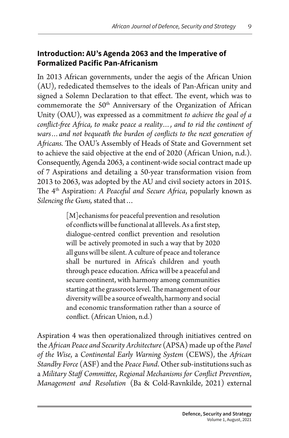#### **Introduction: AU's Agenda 2063 and the Imperative of Formalized Pacific Pan-Africanism**

In 2013 African governments, under the aegis of the African Union (AU), rededicated themselves to the ideals of Pan-African unity and signed a Solemn Declaration to that effect. The event, which was to commemorate the 50<sup>th</sup> Anniversary of the Organization of African Unity (OAU), was expressed as a commitment *to achieve the goal of a con%ict-"ee A"ica, to make peace a reality…, and to rid the continent of wars... and not bequeath the burden of conflicts to the next generation of* Africans. The OAU's Assembly of Heads of State and Government set to achieve the said objective at the end of 2020 (African Union, n.d.). Consequently, Agenda 2063, a continent-wide social contract made up of 7 Aspirations and detailing a 50-year transformation vision from 2013 to 2063, was adopted by the AU and civil society actors in 2015. The 4<sup>th</sup> Aspiration: *A Peaceful and Secure Africa*, popularly known as *Silencing the Guns,* stated that…

> [M]echanisms for peaceful prevention and resolution of conflicts will be functional at all levels. As a first step, dialogue-centred conflict prevention and resolution will be actively promoted in such a way that by 2020 all guns will be silent. A culture of peace and tolerance shall be nurtured in Africa's children and youth through peace education. Africa will be a peaceful and secure continent, with harmony among communities starting at the grassroots level. The management of our diversity will be a source of wealth, harmony and social and economic transformation rather than a source of conflict. (African Union, n.d.)

Aspiration 4 was then operationalized through initiatives centred on the *A"ican Peace and Security Architecture* (APSA) made up of the *Panel of the Wise*, a *Continental Early Warning System* (CEWS), the *A"ican Standby Force* (ASF) and the *Peace Fund*. Other sub-institutions such as a *Military Sta! Commi&ee*, *Regional Mechanisms for Con%ict Prevention*, *Management and Resolution* (Ba & Cold-Ravnkilde, 2021) external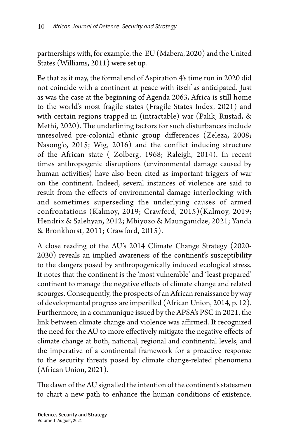partnerships with, for example, the EU (Mabera, 2020) and the United States (Williams, 2011) were set up.

Be that as it may, the formal end of Aspiration 4's time run in 2020 did not coincide with a continent at peace with itself as anticipated. Just as was the case at the beginning of Agenda 2063, Africa is still home to the world's most fragile states (Fragile States Index, 2021) and with certain regions trapped in (intractable) war (Palik, Rustad, & Methi, 2020). The underlining factors for such disturbances include unresolved pre-colonial ethnic group differences (Zeleza, 2008; Nasong'o, 2015; Wig, 2016) and the conflict inducing structure of the African state ( Zolberg, 1968; Raleigh, 2014). In recent times anthropogenic disruptions (environmental damage caused by human activities) have also been cited as important triggers of war on the continent. Indeed, several instances of violence are said to result from the effects of environmental damage interlocking with and sometimes superseding the underlying causes of armed confrontations (Kalmoy, 2019; Crawford, 2015)(Kalmoy, 2019; Hendrix & Salehyan, 2012; Mbiyozo & Maunganidze, 2021; Yanda & Bronkhorst, 2011; Crawford, 2015).

A close reading of the AU's 2014 Climate Change Strategy (2020- 2030) reveals an implied awareness of the continent's susceptibility to the dangers posed by anthropogenically induced ecological stress. It notes that the continent is the 'most vulnerable' and 'least prepared' continent to manage the negative effects of climate change and related scourges. Consequently, the prospects of an African renaissance by way of developmental progress are imperilled (African Union, 2014, p. 12). Furthermore, in a communique issued by the APSA's PSC in 2021, the link between climate change and violence was affirmed. It recognized the need for the AU to more effectively mitigate the negative effects of climate change at both, national, regional and continental levels, and the imperative of a continental framework for a proactive response to the security threats posed by climate change-related phenomena (African Union, 2021).

The dawn of the AU signalled the intention of the continent's statesmen to chart a new path to enhance the human conditions of existence.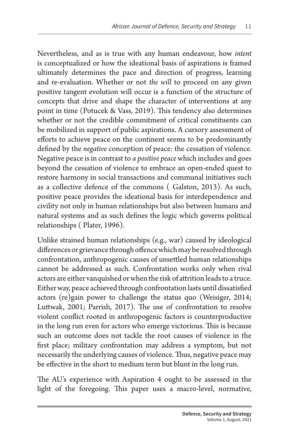Nevertheless, and as is true with any human endeavour, how *intent* is conceptualized or how the ideational basis of aspirations is framed ultimately determines the pace and direction of progress, learning and re-evaluation. Whether or not *the will* to proceed on any given positive tangent evolution will occur is a function of the structure of concepts that drive and shape the character of interventions at any point in time (Potucek & Vass, 2019). This tendency also determines whether or not the credible commitment of critical constituents can be mobilized in support of public aspirations. A cursory assessment of efforts to achieve peace on the continent seems to be predominantly defined by the *negative* conception of peace: the cessation of violence. Negative peace is in contrast to *a positive peace* which includes and goes beyond the cessation of violence to embrace an open-ended quest to restore harmony in social transactions and communal initiatives such as a collective defence of the commons ( Galston, 2013). As such, positive peace provides the ideational basis for interdependence and civility not only in human relationships but also between humans and natural systems and as such defines the logic which governs political relationships ( Plater, 1996).

Unlike strained human relationships (e.g., war) caused by ideological differences or grievance through offence which may be resolved through confrontation, anthropogenic causes of unsettled human relationships cannot be addressed as such. Confrontation works only when rival actors are either vanquished or when the risk of attrition leads to a truce. Either way, peace achieved through confrontation lasts until dissatisfied actors (re)gain power to challenge the status quo (Weisiger, 2014; Luttwak, 2001; Parrish, 2017). The use of confrontation to resolve violent conflict rooted in anthropogenic factors is counterproductive in the long run even for actors who emerge victorious. This is because such an outcome does not tackle the root causes of violence in the first place; military confrontation may address a symptom, but not necessarily the underlying causes of violence. Thus, negative peace may be effective in the short to medium term but blunt in the long run.

The AU's experience with Aspiration 4 ought to be assessed in the light of the foregoing. This paper uses a macro-level, normative,